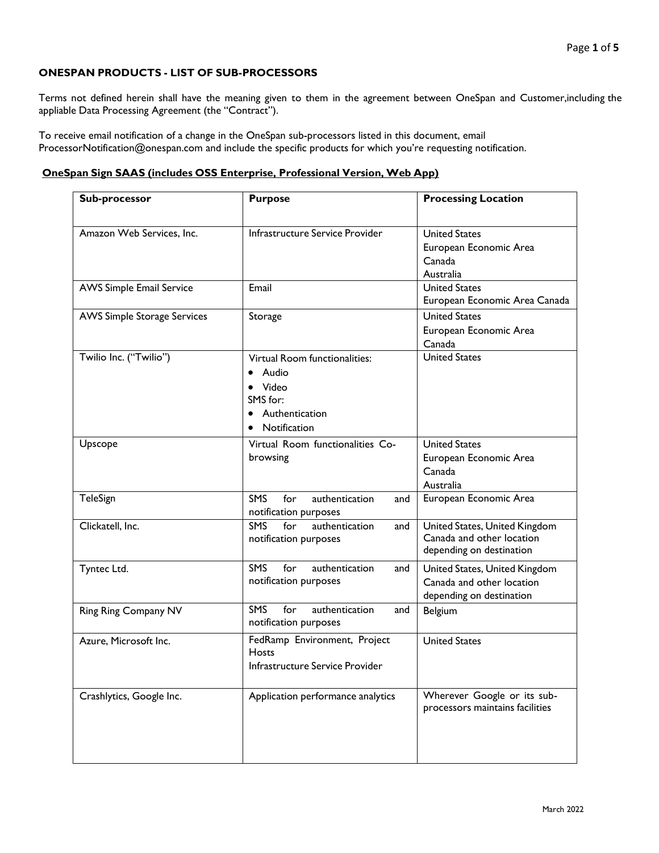# **ONESPAN PRODUCTS - LIST OF SUB-PROCESSORS**

Terms not defined herein shall have the meaning given to them in the agreement between OneSpan and Customer,including the appliable Data Processing Agreement (the "Contract").

To receive email notification of a change in the OneSpan sub-processors listed in this document, email ProcessorNotification@onespan.com and include the specific products for which you're requesting notification.

### **OneSpan Sign SAAS (includes OSS Enterprise, Professional Version, Web App)**

| Sub-processor                      | <b>Purpose</b>                                                                                | <b>Processing Location</b>                                                             |
|------------------------------------|-----------------------------------------------------------------------------------------------|----------------------------------------------------------------------------------------|
| Amazon Web Services, Inc.          | Infrastructure Service Provider                                                               | <b>United States</b><br>European Economic Area<br>Canada<br>Australia                  |
| <b>AWS Simple Email Service</b>    | Email                                                                                         | <b>United States</b><br>European Economic Area Canada                                  |
| <b>AWS Simple Storage Services</b> | Storage                                                                                       | <b>United States</b><br>European Economic Area<br>Canada                               |
| Twilio Inc. ("Twilio")             | Virtual Room functionalities:<br>Audio<br>Video<br>SMS for:<br>Authentication<br>Notification | <b>United States</b>                                                                   |
| Upscope                            | Virtual Room functionalities Co-<br>browsing                                                  | <b>United States</b><br>European Economic Area<br>Canada<br>Australia                  |
| TeleSign                           | <b>SMS</b><br>for<br>authentication<br>and<br>notification purposes                           | European Economic Area                                                                 |
| Clickatell, Inc.                   | for<br><b>SMS</b><br>authentication<br>and<br>notification purposes                           | United States, United Kingdom<br>Canada and other location<br>depending on destination |
| Tyntec Ltd.                        | <b>SMS</b><br>for<br>authentication<br>and<br>notification purposes                           | United States, United Kingdom<br>Canada and other location<br>depending on destination |
| Ring Ring Company NV               | <b>SMS</b><br>for<br>authentication<br>and<br>notification purposes                           | Belgium                                                                                |
| Azure, Microsoft Inc.              | FedRamp Environment, Project<br>Hosts<br>Infrastructure Service Provider                      | <b>United States</b>                                                                   |
| Crashlytics, Google Inc.           | Application performance analytics                                                             | Wherever Google or its sub-<br>processors maintains facilities                         |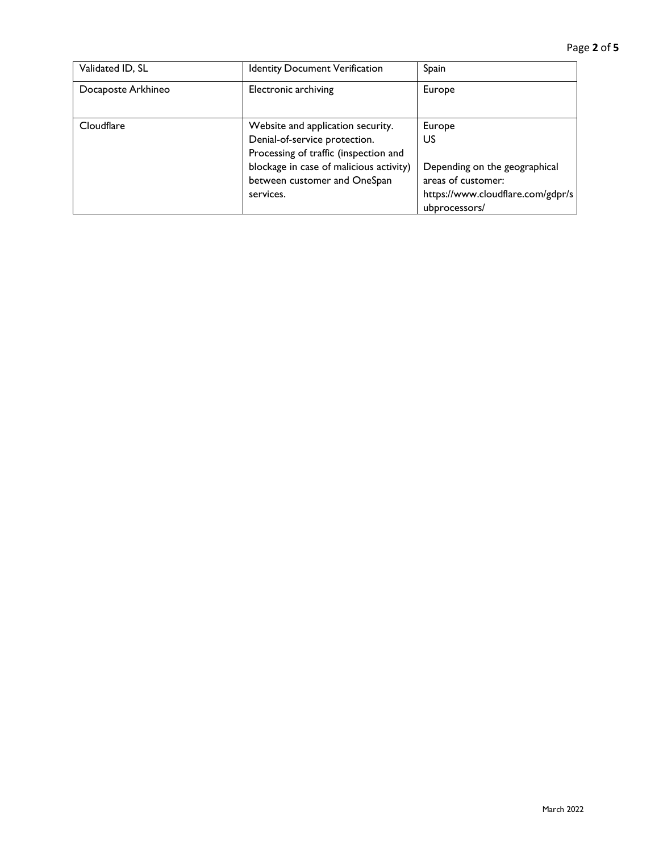| Validated ID, SL   | <b>Identity Document Verification</b>                                                                       | Spain                                                                                                     |
|--------------------|-------------------------------------------------------------------------------------------------------------|-----------------------------------------------------------------------------------------------------------|
| Docaposte Arkhineo | <b>Electronic archiving</b>                                                                                 | Europe                                                                                                    |
| Cloudflare         | Website and application security.<br>Denial-of-service protection.<br>Processing of traffic (inspection and | Europe<br>US                                                                                              |
|                    | blockage in case of malicious activity)<br>between customer and OneSpan<br>services.                        | Depending on the geographical<br>areas of customer:<br>https://www.cloudflare.com/gdpr/s<br>ubprocessors/ |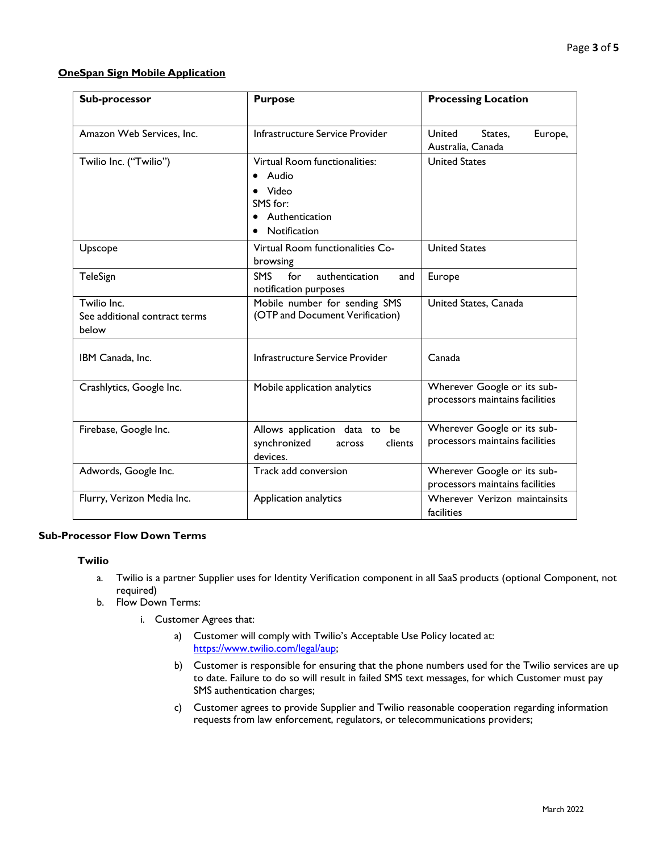## **OneSpan Sign Mobile Application**

| Sub-processor                                         | <b>Purpose</b>                                                                                | <b>Processing Location</b>                                     |
|-------------------------------------------------------|-----------------------------------------------------------------------------------------------|----------------------------------------------------------------|
| Amazon Web Services, Inc.                             | Infrastructure Service Provider                                                               | United<br>States.<br>Europe,<br>Australia, Canada              |
| Twilio Inc. ("Twilio")                                | Virtual Room functionalities:<br>Audio<br>Video<br>SMS for:<br>Authentication<br>Notification | <b>United States</b>                                           |
| Upscope                                               | Virtual Room functionalities Co-<br>browsing                                                  | <b>United States</b>                                           |
| TeleSign                                              | <b>SMS</b><br>authentication<br>for<br>and<br>notification purposes                           | Europe                                                         |
| Twilio Inc.<br>See additional contract terms<br>below | Mobile number for sending SMS<br>(OTP and Document Verification)                              | United States, Canada                                          |
| IBM Canada, Inc.                                      | Infrastructure Service Provider                                                               | Canada                                                         |
| Crashlytics, Google Inc.                              | Mobile application analytics                                                                  | Wherever Google or its sub-<br>processors maintains facilities |
| Firebase, Google Inc.                                 | Allows application data to be<br>synchronized<br>clients<br>across<br>devices.                | Wherever Google or its sub-<br>processors maintains facilities |
| Adwords, Google Inc.                                  | Track add conversion                                                                          | Wherever Google or its sub-<br>processors maintains facilities |
| Flurry, Verizon Media Inc.                            | Application analytics                                                                         | Wherever Verizon maintainsits<br>facilities                    |

## **Sub-Processor Flow Down Terms**

### **Twilio**

- a. Twilio is a partner Supplier uses for Identity Verification component in all SaaS products (optional Component, not required)
- b. Flow Down Terms:
	- i. Customer Agrees that:
		- a) Customer will comply with Twilio's Acceptable Use Policy located at: [https://www.twilio.com/legal/aup;](https://www.twilio.com/legal/aup)
		- b) Customer is responsible for ensuring that the phone numbers used for the Twilio services are up to date. Failure to do so will result in failed SMS text messages, for which Customer must pay SMS authentication charges;
		- c) Customer agrees to provide Supplier and Twilio reasonable cooperation regarding information requests from law enforcement, regulators, or telecommunications providers;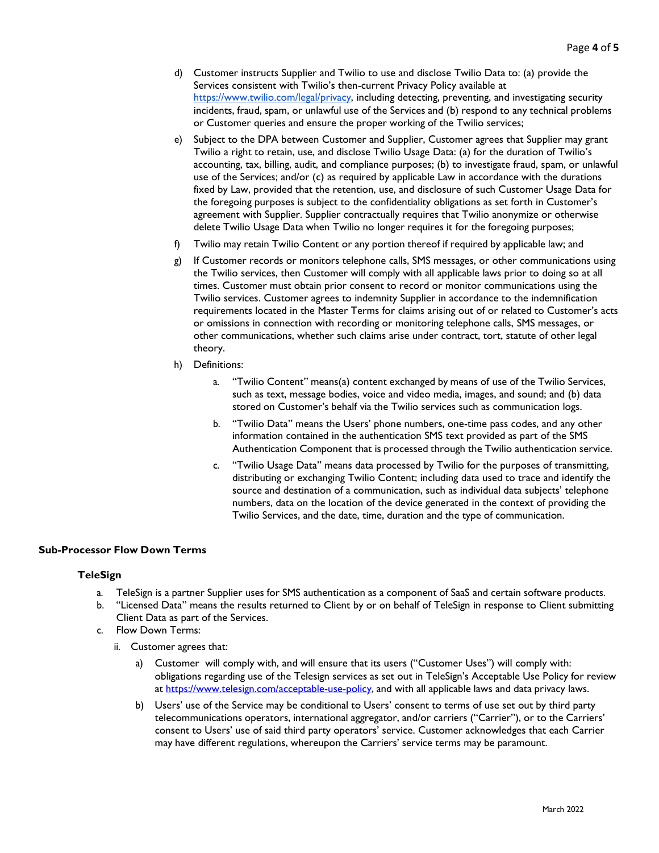- d) Customer instructs Supplier and Twilio to use and disclose Twilio Data to: (a) provide the Services consistent with Twilio's then-current Privacy Policy available at [https://www.twilio.com/legal/privacy, in](https://www.twilio.com/legal/privacy)cluding detecting, preventing, and investigating security incidents, fraud, spam, or unlawful use of the Services and (b) respond to any technical problems or Customer queries and ensure the proper working of the Twilio services;
- e) Subject to the DPA between Customer and Supplier, Customer agrees that Supplier may grant Twilio a right to retain, use, and disclose Twilio Usage Data: (a) for the duration of Twilio's accounting, tax, billing, audit, and compliance purposes; (b) to investigate fraud, spam, or unlawful use of the Services; and/or (c) as required by applicable Law in accordance with the durations fixed by Law, provided that the retention, use, and disclosure of such Customer Usage Data for the foregoing purposes is subject to the confidentiality obligations as set forth in Customer's agreement with Supplier. Supplier contractually requires that Twilio anonymize or otherwise delete Twilio Usage Data when Twilio no longer requires it for the foregoing purposes;
- f) Twilio may retain Twilio Content or any portion thereof if required by applicable law; and
- g) If Customer records or monitors telephone calls, SMS messages, or other communications using the Twilio services, then Customer will comply with all applicable laws prior to doing so at all times. Customer must obtain prior consent to record or monitor communications using the Twilio services. Customer agrees to indemnity Supplier in accordance to the indemnification requirements located in the Master Terms for claims arising out of or related to Customer's acts or omissions in connection with recording or monitoring telephone calls, SMS messages, or other communications, whether such claims arise under contract, tort, statute of other legal theory.
- h) Definitions:
	- a. "Twilio Content" means(a) content exchanged by means of use of the Twilio Services, such as text, message bodies, voice and video media, images, and sound; and (b) data stored on Customer's behalf via the Twilio services such as communication logs.
	- b. "Twilio Data" means the Users' phone numbers, one-time pass codes, and any other information contained in the authentication SMS text provided as part of the SMS Authentication Component that is processed through the Twilio authentication service.
	- c. "Twilio Usage Data" means data processed by Twilio for the purposes of transmitting, distributing or exchanging Twilio Content; including data used to trace and identify the source and destination of a communication, such as individual data subjects' telephone numbers, data on the location of the device generated in the context of providing the Twilio Services, and the date, time, duration and the type of communication.

### **Sub-Processor Flow Down Terms**

#### **TeleSign**

- a. TeleSign is a partner Supplier uses for SMS authentication as a component of SaaS and certain software products.
- b. "Licensed Data" means the results returned to Client by or on behalf of TeleSign in response to Client submitting Client Data as part of the Services.
- c. Flow Down Terms:
	- ii. Customer agrees that:
		- a) Customer will comply with, and will ensure that its users ("Customer Uses") will comply with: obligations regarding use of the Telesign services as set out in TeleSign's Acceptable Use Policy for review at [https://www.telesign.com/acceptable-use-policy, a](https://www.telesign.com/acceptable-use-policy)nd with all applicable laws and data privacy laws.
		- b) Users' use of the Service may be conditional to Users' consent to terms of use set out by third party telecommunications operators, international aggregator, and/or carriers ("Carrier"), or to the Carriers' consent to Users' use of said third party operators' service. Customer acknowledges that each Carrier may have different regulations, whereupon the Carriers' service terms may be paramount.